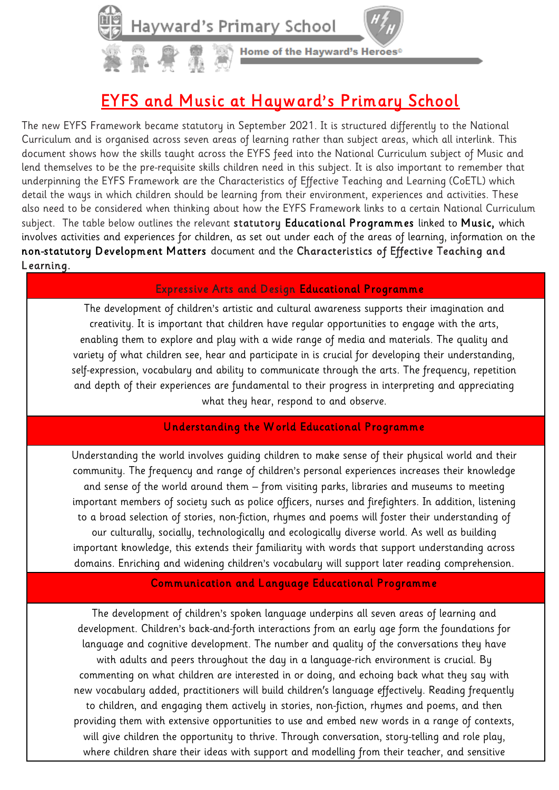Home of the Hayward's Heroes®

# EYFS and Music at Hayward's Primary School

The new EYFS Framework became statutory in September 2021. It is structured differently to the National Curriculum and is organised across seven areas of learning rather than subject areas, which all interlink. This document shows how the skills taught across the EYFS feed into the National Curriculum subject of Music and lend themselves to be the pre-requisite skills children need in this subject. It is also important to remember that underpinning the EYFS Framework are the Characteristics of Effective Teaching and Learning (CoETL) which detail the ways in which children should be learning from their environment, experiences and activities. These also need to be considered when thinking about how the EYFS Framework links to a certain National Curriculum subject. The table below outlines the relevant statutory Educational Programmes linked to Music, which involves activities and experiences for children, as set out under each of the areas of learning, information on the non-statutory Development Matters document and the Characteristics of Effective Teaching and Learning.

## Expressive Arts and Design Educational Programme

The development of children's artistic and cultural awareness supports their imagination and creativity. It is important that children have regular opportunities to engage with the arts, enabling them to explore and play with a wide range of media and materials. The quality and variety of what children see, hear and participate in is crucial for developing their understanding, self-expression, vocabulary and ability to communicate through the arts. The frequency, repetition and depth of their experiences are fundamental to their progress in interpreting and appreciating what they hear, respond to and observe.

### Understanding the W orld Educational Programme

Understanding the world involves guiding children to make sense of their physical world and their community. The frequency and range of children's personal experiences increases their knowledge and sense of the world around them – from visiting parks, libraries and museums to meeting important members of society such as police officers, nurses and firefighters. In addition, listening to a broad selection of stories, non-fiction, rhymes and poems will foster their understanding of our culturally, socially, technologically and ecologically diverse world. As well as building important knowledge, this extends their familiarity with words that support understanding across domains. Enriching and widening children's vocabulary will support later reading comprehension.

### Communication and Language Educational Programme

The development of children's spoken language underpins all seven areas of learning and development. Children's back-and-forth interactions from an early age form the foundations for language and cognitive development. The number and quality of the conversations they have with adults and peers throughout the day in a language-rich environment is crucial. By commenting on what children are interested in or doing, and echoing back what they say with new vocabulary added, practitioners will build children's language effectively. Reading frequently to children, and engaging them actively in stories, non-fiction, rhymes and poems, and then providing them with extensive opportunities to use and embed new words in a range of contexts, will give children the opportunity to thrive. Through conversation, story-telling and role play, where children share their ideas with support and modelling from their teacher, and sensitive